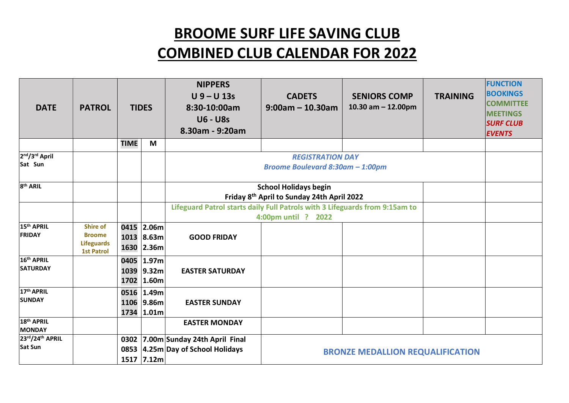## **BROOME SURF LIFE SAVING CLUB**

## **COMBINED CLUB CALENDAR FOR 2022**

| <b>DATE</b>                               | <b>PATROL</b>                                                              |              | <b>TIDES</b>                           | <b>NIPPERS</b><br>$U$ 9 – U 13s<br>8:30-10:00am<br><b>U6 - U8s</b><br>8.30am - 9:20am | <b>CADETS</b><br>$9:00am - 10.30am$ | <b>SENIORS COMP</b><br>10.30 am $-$ 12.00pm | <b>TRAINING</b> | <b>FUNCTION</b><br><b>BOOKINGS</b><br><b>COMMITTEE</b><br><b>MEETINGS</b><br><b>SURF CLUB</b><br><b>EVENTS</b> |
|-------------------------------------------|----------------------------------------------------------------------------|--------------|----------------------------------------|---------------------------------------------------------------------------------------|-------------------------------------|---------------------------------------------|-----------------|----------------------------------------------------------------------------------------------------------------|
|                                           |                                                                            | <b>TIME</b>  | M                                      |                                                                                       |                                     |                                             |                 |                                                                                                                |
| 2nd/3rd April                             |                                                                            |              |                                        |                                                                                       | <b>REGISTRATION DAY</b>             |                                             |                 |                                                                                                                |
| Sat Sun                                   |                                                                            |              |                                        | Broome Boulevard 8:30am - 1:00pm                                                      |                                     |                                             |                 |                                                                                                                |
| 8 <sup>th</sup> ARIL                      |                                                                            |              |                                        |                                                                                       |                                     |                                             |                 |                                                                                                                |
|                                           |                                                                            |              |                                        | <b>School Holidays begin</b><br>Friday 8th April to Sunday 24th April 2022            |                                     |                                             |                 |                                                                                                                |
|                                           |                                                                            |              |                                        | Lifeguard Patrol starts daily Full Patrols with 3 Lifeguards from 9:15am to           |                                     |                                             |                 |                                                                                                                |
|                                           |                                                                            |              |                                        | 4:00pm until ? 2022                                                                   |                                     |                                             |                 |                                                                                                                |
| 15 <sup>th</sup> APRIL<br><b>FRIDAY</b>   | <b>Shire of</b><br><b>Broome</b><br><b>Lifeguards</b><br><b>1st Patrol</b> |              | 0415 2.06m<br>1013 8.63m<br>1630 2.36m | <b>GOOD FRIDAY</b>                                                                    |                                     |                                             |                 |                                                                                                                |
| 16 <sup>th</sup> APRIL<br><b>SATURDAY</b> |                                                                            | 0405<br>1702 | 1.97m<br>1039 9.32m<br>1.60m           | <b>EASTER SATURDAY</b>                                                                |                                     |                                             |                 |                                                                                                                |
| 17th APRIL<br><b>SUNDAY</b>               |                                                                            | 0516         | 1.49m<br>1106 9.86m<br>1734 1.01m      | <b>EASTER SUNDAY</b>                                                                  |                                     |                                             |                 |                                                                                                                |
| 18th APRIL<br><b>MONDAY</b>               |                                                                            |              |                                        | <b>EASTER MONDAY</b>                                                                  |                                     |                                             |                 |                                                                                                                |
| 23rd/24th APRIL<br><b>Sat Sun</b>         |                                                                            | 0302         | 1517 7.12m                             | 7.00m Sunday 24th April Final<br>0853 4.25m Day of School Holidays                    |                                     | <b>BRONZE MEDALLION REQUALIFICATION</b>     |                 |                                                                                                                |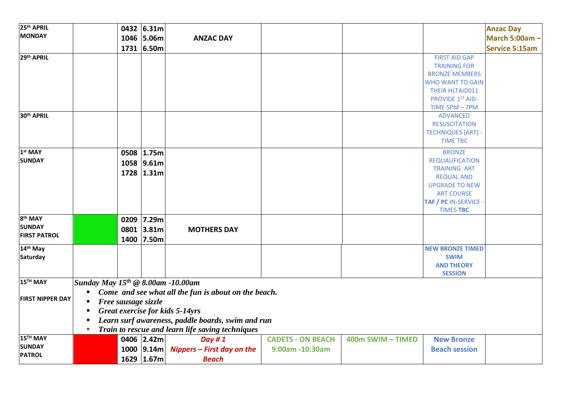| <b>MONDAY</b><br>1046 5.06m<br><b>ANZAC DAY</b><br>1731 6.50m<br><b>Service 5:15am</b><br>29th APRIL<br><b>FIRST AID GAP</b><br><b>TRAINING FOR</b><br><b>BRONZE MEMBERS</b><br><b>WHO WANT TO GAIN</b><br>THEIR HLTAID011<br>PROVIDE 1ST AID-<br>TIME 5PM - 7PM<br>30 <sup>th</sup> APRIL<br><b>ADVANCED</b><br><b>RESUSCITATION</b><br><b>TECHNIQUES (ART) -</b><br><b>TIME TBC</b><br>1 <sup>st</sup> MAY<br><b>BRONZE</b><br>0508 1.75m<br><b>SUNDAY</b><br><b>REQUALIFICATION</b><br>1058 9.61m<br><b>TRAINING: ART</b><br>1728 1.31m<br><b>REQUAL AND</b><br><b>UPGRADE TO NEW</b><br><b>ART COURSE</b><br>TAF / PC IN-SERVICE<br><b>TIMES TBC</b><br>8 <sup>th</sup> MAY<br>0209 7.29m | 25 <sup>th</sup> APRIL |  | 0432 6.31m                                           |  |  |  |  | <b>Anzac Day</b>     |  |  |  |
|-----------------------------------------------------------------------------------------------------------------------------------------------------------------------------------------------------------------------------------------------------------------------------------------------------------------------------------------------------------------------------------------------------------------------------------------------------------------------------------------------------------------------------------------------------------------------------------------------------------------------------------------------------------------------------------------------|------------------------|--|------------------------------------------------------|--|--|--|--|----------------------|--|--|--|
|                                                                                                                                                                                                                                                                                                                                                                                                                                                                                                                                                                                                                                                                                               |                        |  |                                                      |  |  |  |  | <b>March 5:00am-</b> |  |  |  |
|                                                                                                                                                                                                                                                                                                                                                                                                                                                                                                                                                                                                                                                                                               |                        |  |                                                      |  |  |  |  |                      |  |  |  |
|                                                                                                                                                                                                                                                                                                                                                                                                                                                                                                                                                                                                                                                                                               |                        |  |                                                      |  |  |  |  |                      |  |  |  |
|                                                                                                                                                                                                                                                                                                                                                                                                                                                                                                                                                                                                                                                                                               |                        |  |                                                      |  |  |  |  |                      |  |  |  |
|                                                                                                                                                                                                                                                                                                                                                                                                                                                                                                                                                                                                                                                                                               |                        |  |                                                      |  |  |  |  |                      |  |  |  |
|                                                                                                                                                                                                                                                                                                                                                                                                                                                                                                                                                                                                                                                                                               |                        |  |                                                      |  |  |  |  |                      |  |  |  |
|                                                                                                                                                                                                                                                                                                                                                                                                                                                                                                                                                                                                                                                                                               |                        |  |                                                      |  |  |  |  |                      |  |  |  |
|                                                                                                                                                                                                                                                                                                                                                                                                                                                                                                                                                                                                                                                                                               |                        |  |                                                      |  |  |  |  |                      |  |  |  |
|                                                                                                                                                                                                                                                                                                                                                                                                                                                                                                                                                                                                                                                                                               |                        |  |                                                      |  |  |  |  |                      |  |  |  |
|                                                                                                                                                                                                                                                                                                                                                                                                                                                                                                                                                                                                                                                                                               |                        |  |                                                      |  |  |  |  |                      |  |  |  |
|                                                                                                                                                                                                                                                                                                                                                                                                                                                                                                                                                                                                                                                                                               |                        |  |                                                      |  |  |  |  |                      |  |  |  |
|                                                                                                                                                                                                                                                                                                                                                                                                                                                                                                                                                                                                                                                                                               |                        |  |                                                      |  |  |  |  |                      |  |  |  |
|                                                                                                                                                                                                                                                                                                                                                                                                                                                                                                                                                                                                                                                                                               |                        |  |                                                      |  |  |  |  |                      |  |  |  |
|                                                                                                                                                                                                                                                                                                                                                                                                                                                                                                                                                                                                                                                                                               |                        |  |                                                      |  |  |  |  |                      |  |  |  |
|                                                                                                                                                                                                                                                                                                                                                                                                                                                                                                                                                                                                                                                                                               |                        |  |                                                      |  |  |  |  |                      |  |  |  |
|                                                                                                                                                                                                                                                                                                                                                                                                                                                                                                                                                                                                                                                                                               |                        |  |                                                      |  |  |  |  |                      |  |  |  |
|                                                                                                                                                                                                                                                                                                                                                                                                                                                                                                                                                                                                                                                                                               |                        |  |                                                      |  |  |  |  |                      |  |  |  |
|                                                                                                                                                                                                                                                                                                                                                                                                                                                                                                                                                                                                                                                                                               |                        |  |                                                      |  |  |  |  |                      |  |  |  |
|                                                                                                                                                                                                                                                                                                                                                                                                                                                                                                                                                                                                                                                                                               |                        |  |                                                      |  |  |  |  |                      |  |  |  |
|                                                                                                                                                                                                                                                                                                                                                                                                                                                                                                                                                                                                                                                                                               |                        |  |                                                      |  |  |  |  |                      |  |  |  |
|                                                                                                                                                                                                                                                                                                                                                                                                                                                                                                                                                                                                                                                                                               |                        |  |                                                      |  |  |  |  |                      |  |  |  |
| 0801 3.81m<br><b>MOTHERS DAY</b>                                                                                                                                                                                                                                                                                                                                                                                                                                                                                                                                                                                                                                                              | <b>SUNDAY</b>          |  |                                                      |  |  |  |  |                      |  |  |  |
| <b>FIRST PATROL</b><br>1400 7.50m                                                                                                                                                                                                                                                                                                                                                                                                                                                                                                                                                                                                                                                             |                        |  |                                                      |  |  |  |  |                      |  |  |  |
| 14th May<br><b>NEW BRONZE TIMED</b>                                                                                                                                                                                                                                                                                                                                                                                                                                                                                                                                                                                                                                                           |                        |  |                                                      |  |  |  |  |                      |  |  |  |
| Saturday<br><b>SWIM</b>                                                                                                                                                                                                                                                                                                                                                                                                                                                                                                                                                                                                                                                                       |                        |  |                                                      |  |  |  |  |                      |  |  |  |
| <b>AND THEORY</b>                                                                                                                                                                                                                                                                                                                                                                                                                                                                                                                                                                                                                                                                             |                        |  |                                                      |  |  |  |  |                      |  |  |  |
| <b>SESSION</b>                                                                                                                                                                                                                                                                                                                                                                                                                                                                                                                                                                                                                                                                                |                        |  |                                                      |  |  |  |  |                      |  |  |  |
| 15 <sup>TH</sup> MAY<br>Sunday May $15^{th} \odot 8.00$ am -10.00am                                                                                                                                                                                                                                                                                                                                                                                                                                                                                                                                                                                                                           |                        |  |                                                      |  |  |  |  |                      |  |  |  |
|                                                                                                                                                                                                                                                                                                                                                                                                                                                                                                                                                                                                                                                                                               |                        |  | Come and see what all the fun is about on the beach. |  |  |  |  |                      |  |  |  |
| <b>FIRST NIPPER DAY</b><br>Free sausage sizzle                                                                                                                                                                                                                                                                                                                                                                                                                                                                                                                                                                                                                                                |                        |  |                                                      |  |  |  |  |                      |  |  |  |
| Great exercise for kids 5-14yrs                                                                                                                                                                                                                                                                                                                                                                                                                                                                                                                                                                                                                                                               |                        |  |                                                      |  |  |  |  |                      |  |  |  |
| Learn surf awareness, paddle boards, swim and run                                                                                                                                                                                                                                                                                                                                                                                                                                                                                                                                                                                                                                             |                        |  |                                                      |  |  |  |  |                      |  |  |  |
| Train to rescue and learn life saving techniques<br>ш                                                                                                                                                                                                                                                                                                                                                                                                                                                                                                                                                                                                                                         |                        |  |                                                      |  |  |  |  |                      |  |  |  |
| 15TH MAY<br><b>CADETS - ON BEACH</b><br>0406 2.42m<br>Day #1<br>400m SWIM - TIMED<br><b>New Bronze</b>                                                                                                                                                                                                                                                                                                                                                                                                                                                                                                                                                                                        |                        |  |                                                      |  |  |  |  |                      |  |  |  |
| <b>SUNDAY</b><br>1000 $ 9.14m $ Nippers – First day on the<br>9:00am -10:30am<br><b>Beach session</b>                                                                                                                                                                                                                                                                                                                                                                                                                                                                                                                                                                                         |                        |  |                                                      |  |  |  |  |                      |  |  |  |
| <b>PATROL</b><br>1629 1.67m<br><b>Beach</b>                                                                                                                                                                                                                                                                                                                                                                                                                                                                                                                                                                                                                                                   |                        |  |                                                      |  |  |  |  |                      |  |  |  |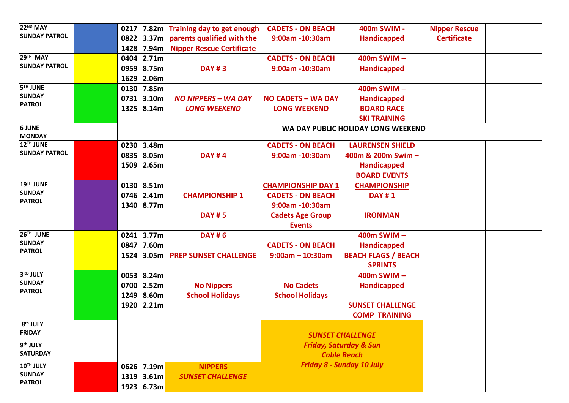| 22 <sup>ND</sup> MAY           | 0217 | 7.82m             | Training day to get enough       | <b>CADETS - ON BEACH</b>  | 400m SWIM -                        | <b>Nipper Rescue</b> |  |
|--------------------------------|------|-------------------|----------------------------------|---------------------------|------------------------------------|----------------------|--|
| <b>SUNDAY PATROL</b>           |      | 0822 3.37m        | parents qualified with the       | 9:00am -10:30am           | <b>Handicapped</b>                 | <b>Certificate</b>   |  |
|                                |      | 1428 7.94m        | <b>Nipper Rescue Certificate</b> |                           |                                    |                      |  |
| 29TH MAY                       | 0404 | 2.71m             |                                  | <b>CADETS - ON BEACH</b>  | 400m SWIM-                         |                      |  |
| <b>SUNDAY PATROL</b>           | 0959 | 8.75m             | <b>DAY #3</b>                    | 9:00am -10:30am           | <b>Handicapped</b>                 |                      |  |
|                                | 1629 | 2.06m             |                                  |                           |                                    |                      |  |
| <b>5<sup>TH</sup> JUNE</b>     | 0130 | 7.85m             |                                  |                           | 400m SWIM-                         |                      |  |
| <b>SUNDAY</b>                  | 0731 | 3.10 <sub>m</sub> | <b>NO NIPPERS - WA DAY</b>       | <b>NO CADETS - WA DAY</b> | <b>Handicapped</b>                 |                      |  |
| <b>PATROL</b>                  | 1325 | 8.14m             | <b>LONG WEEKEND</b>              | <b>LONG WEEKEND</b>       | <b>BOARD RACE</b>                  |                      |  |
|                                |      |                   |                                  |                           | <b>SKI TRAINING</b>                |                      |  |
| <b>6 JUNE</b><br><b>MONDAY</b> |      |                   |                                  |                           | WA DAY PUBLIC HOLIDAY LONG WEEKEND |                      |  |
| 12TH JUNE                      |      | 0230 3.48m        |                                  | <b>CADETS - ON BEACH</b>  | <b>LAURENSEN SHIELD</b>            |                      |  |
| <b>SUNDAY PATROL</b>           |      | 0835 8.05m        | <b>DAY #4</b>                    | 9:00am -10:30am           | 400m & 200m Swim -                 |                      |  |
|                                | 1509 | 2.65m             |                                  |                           | <b>Handicapped</b>                 |                      |  |
|                                |      |                   |                                  |                           | <b>BOARD EVENTS</b>                |                      |  |
| 19TH JUNE                      | 0130 | 8.51m             |                                  | <b>CHAMPIONSHIP DAY 1</b> | <b>CHAMPIONSHIP</b>                |                      |  |
| <b>SUNDAY</b>                  |      | 0746 2.41m        | <b>CHAMPIONSHIP 1</b>            | <b>CADETS - ON BEACH</b>  | <b>DAY #1</b>                      |                      |  |
| <b>PATROL</b>                  |      | 1340 8.77m        |                                  | 9:00am -10:30am           |                                    |                      |  |
|                                |      |                   | <b>DAY #5</b>                    | <b>Cadets Age Group</b>   | <b>IRONMAN</b>                     |                      |  |
|                                |      |                   |                                  | <b>Events</b>             |                                    |                      |  |
| 26TH JUNE                      | 0241 | 3.77m             | <b>DAY #6</b>                    |                           | 400m SWIM-                         |                      |  |
| <b>SUNDAY</b>                  | 0847 | 7.60m             |                                  | <b>CADETS - ON BEACH</b>  | <b>Handicapped</b>                 |                      |  |
| <b>PATROL</b>                  | 1524 | 3.05 <sub>m</sub> | <b>PREP SUNSET CHALLENGE</b>     | $9:00am - 10:30am$        | <b>BEACH FLAGS / BEACH</b>         |                      |  |
|                                |      |                   |                                  |                           | <b>SPRINTS</b>                     |                      |  |
| 3RD JULY                       |      | 0053 8.24m        |                                  |                           | 400m SWIM-                         |                      |  |
| <b>SUNDAY</b>                  |      | 0700 2.52m        | <b>No Nippers</b>                | <b>No Cadets</b>          | <b>Handicapped</b>                 |                      |  |
| <b>PATROL</b>                  | 1249 | 8.60m             | <b>School Holidays</b>           | <b>School Holidays</b>    |                                    |                      |  |
|                                | 1920 | 2.21m             |                                  |                           | <b>SUNSET CHALLENGE</b>            |                      |  |
|                                |      |                   |                                  |                           | <b>COMP TRAINING</b>               |                      |  |
| 8 <sup>th</sup> JULY           |      |                   |                                  |                           |                                    |                      |  |
| <b>FRIDAY</b>                  |      |                   |                                  |                           | <b>SUNSET CHALLENGE</b>            |                      |  |
| 9 <sup>th</sup> JULY           |      |                   |                                  |                           | <b>Friday, Saturday &amp; Sun</b>  |                      |  |
| <b>SATURDAY</b>                |      |                   |                                  |                           | <b>Cable Beach</b>                 |                      |  |
| 10TH JULY                      |      | 0626 7.19m        | <b>NIPPERS</b>                   |                           | Friday 8 - Sunday 10 July          |                      |  |
| <b>SUNDAY</b>                  |      | 1319 3.61m        | <b>SUNSET CHALLENGE</b>          |                           |                                    |                      |  |
| <b>PATROL</b>                  |      | 1923 6.73m        |                                  |                           |                                    |                      |  |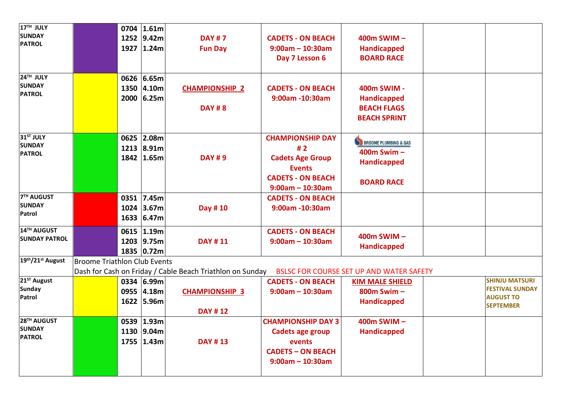| 17 <sup>TH</sup> JULY                                                                                                                        |                              | 0704                                         | 1.61m                                                                                                      |                                                                                                                            |                                                                                                                                                |                                                                                                                                               |                                                                                         |
|----------------------------------------------------------------------------------------------------------------------------------------------|------------------------------|----------------------------------------------|------------------------------------------------------------------------------------------------------------|----------------------------------------------------------------------------------------------------------------------------|------------------------------------------------------------------------------------------------------------------------------------------------|-----------------------------------------------------------------------------------------------------------------------------------------------|-----------------------------------------------------------------------------------------|
| <b>SUNDAY</b>                                                                                                                                |                              |                                              |                                                                                                            |                                                                                                                            |                                                                                                                                                |                                                                                                                                               |                                                                                         |
| <b>PATROL</b>                                                                                                                                |                              | 1252                                         | 9.42m                                                                                                      | <b>DAY #7</b>                                                                                                              | <b>CADETS - ON BEACH</b>                                                                                                                       | 400m SWIM-                                                                                                                                    |                                                                                         |
|                                                                                                                                              |                              |                                              | 1927 1.24m                                                                                                 | <b>Fun Day</b>                                                                                                             | $9:00am - 10:30am$                                                                                                                             | Handicapped                                                                                                                                   |                                                                                         |
|                                                                                                                                              |                              |                                              |                                                                                                            |                                                                                                                            | Day 7 Lesson 6                                                                                                                                 | <b>BOARD RACE</b>                                                                                                                             |                                                                                         |
|                                                                                                                                              |                              |                                              |                                                                                                            |                                                                                                                            |                                                                                                                                                |                                                                                                                                               |                                                                                         |
| 24TH JULY                                                                                                                                    |                              |                                              | 0626 6.65m                                                                                                 |                                                                                                                            |                                                                                                                                                |                                                                                                                                               |                                                                                         |
| <b>SUNDAY</b>                                                                                                                                |                              |                                              |                                                                                                            |                                                                                                                            |                                                                                                                                                |                                                                                                                                               |                                                                                         |
| <b>PATROL</b>                                                                                                                                |                              |                                              | 1350 4.10m                                                                                                 | <b>CHAMPIONSHIP 2</b>                                                                                                      | <b>CADETS - ON BEACH</b>                                                                                                                       | 400m SWIM -                                                                                                                                   |                                                                                         |
|                                                                                                                                              |                              | 2000                                         | 6.25m                                                                                                      |                                                                                                                            | 9:00am -10:30am                                                                                                                                | <b>Handicapped</b>                                                                                                                            |                                                                                         |
|                                                                                                                                              |                              |                                              |                                                                                                            | <b>DAY #8</b>                                                                                                              |                                                                                                                                                | <b>BEACH FLAGS</b>                                                                                                                            |                                                                                         |
|                                                                                                                                              |                              |                                              |                                                                                                            |                                                                                                                            |                                                                                                                                                | <b>BEACH SPRINT</b>                                                                                                                           |                                                                                         |
|                                                                                                                                              |                              |                                              |                                                                                                            |                                                                                                                            |                                                                                                                                                |                                                                                                                                               |                                                                                         |
| 31 <sup>ST</sup> JULY                                                                                                                        |                              | 0625                                         | 2.08m                                                                                                      |                                                                                                                            | <b>CHAMPIONSHIP DAY</b>                                                                                                                        |                                                                                                                                               |                                                                                         |
| <b>SUNDAY</b>                                                                                                                                |                              | 1213                                         | 8.91m                                                                                                      |                                                                                                                            | #2                                                                                                                                             | <b>BROOME PLUMBING &amp; GAS</b>                                                                                                              |                                                                                         |
| <b>PATROL</b>                                                                                                                                |                              |                                              |                                                                                                            |                                                                                                                            |                                                                                                                                                | 400m Swim $-$                                                                                                                                 |                                                                                         |
|                                                                                                                                              |                              |                                              | 1842 1.65m                                                                                                 | <b>DAY#9</b>                                                                                                               | <b>Cadets Age Group</b>                                                                                                                        | <b>Handicapped</b>                                                                                                                            |                                                                                         |
|                                                                                                                                              |                              |                                              |                                                                                                            |                                                                                                                            | <b>Events</b>                                                                                                                                  |                                                                                                                                               |                                                                                         |
|                                                                                                                                              |                              |                                              |                                                                                                            |                                                                                                                            | <b>CADETS - ON BEACH</b>                                                                                                                       | <b>BOARD RACE</b>                                                                                                                             |                                                                                         |
|                                                                                                                                              |                              |                                              |                                                                                                            |                                                                                                                            | $9:00am - 10:30am$                                                                                                                             |                                                                                                                                               |                                                                                         |
|                                                                                                                                              |                              |                                              |                                                                                                            |                                                                                                                            |                                                                                                                                                |                                                                                                                                               |                                                                                         |
| <b>SUNDAY</b>                                                                                                                                |                              |                                              |                                                                                                            |                                                                                                                            |                                                                                                                                                |                                                                                                                                               |                                                                                         |
| Patrol                                                                                                                                       |                              |                                              |                                                                                                            |                                                                                                                            |                                                                                                                                                |                                                                                                                                               |                                                                                         |
|                                                                                                                                              |                              |                                              |                                                                                                            |                                                                                                                            |                                                                                                                                                |                                                                                                                                               |                                                                                         |
| 14TH AUGUST                                                                                                                                  |                              | 0615                                         | 1.19m                                                                                                      |                                                                                                                            | <b>CADETS - ON BEACH</b>                                                                                                                       |                                                                                                                                               |                                                                                         |
| <b>SUNDAY PATROL</b>                                                                                                                         |                              |                                              |                                                                                                            |                                                                                                                            |                                                                                                                                                |                                                                                                                                               |                                                                                         |
|                                                                                                                                              |                              |                                              |                                                                                                            |                                                                                                                            |                                                                                                                                                |                                                                                                                                               |                                                                                         |
|                                                                                                                                              |                              |                                              |                                                                                                            |                                                                                                                            |                                                                                                                                                |                                                                                                                                               |                                                                                         |
|                                                                                                                                              |                              |                                              |                                                                                                            |                                                                                                                            |                                                                                                                                                |                                                                                                                                               |                                                                                         |
|                                                                                                                                              |                              |                                              |                                                                                                            |                                                                                                                            |                                                                                                                                                |                                                                                                                                               |                                                                                         |
|                                                                                                                                              |                              |                                              |                                                                                                            |                                                                                                                            |                                                                                                                                                | <b>KIM MALE SHIELD</b>                                                                                                                        |                                                                                         |
|                                                                                                                                              |                              |                                              | 0955 4.18m                                                                                                 | <b>CHAMPIONSHIP 3</b>                                                                                                      | $9:00am - 10:30am$                                                                                                                             | 800m Swim-                                                                                                                                    |                                                                                         |
|                                                                                                                                              |                              |                                              |                                                                                                            |                                                                                                                            |                                                                                                                                                |                                                                                                                                               |                                                                                         |
|                                                                                                                                              |                              |                                              |                                                                                                            |                                                                                                                            |                                                                                                                                                |                                                                                                                                               |                                                                                         |
|                                                                                                                                              |                              |                                              |                                                                                                            |                                                                                                                            |                                                                                                                                                |                                                                                                                                               |                                                                                         |
|                                                                                                                                              |                              |                                              |                                                                                                            |                                                                                                                            |                                                                                                                                                |                                                                                                                                               |                                                                                         |
|                                                                                                                                              |                              |                                              |                                                                                                            |                                                                                                                            |                                                                                                                                                |                                                                                                                                               |                                                                                         |
|                                                                                                                                              |                              |                                              |                                                                                                            |                                                                                                                            | events                                                                                                                                         |                                                                                                                                               |                                                                                         |
|                                                                                                                                              |                              |                                              |                                                                                                            |                                                                                                                            | <b>CADETS - ON BEACH</b>                                                                                                                       |                                                                                                                                               |                                                                                         |
|                                                                                                                                              |                              |                                              |                                                                                                            |                                                                                                                            | $9:00am - 10:30am$                                                                                                                             |                                                                                                                                               |                                                                                         |
|                                                                                                                                              |                              |                                              |                                                                                                            |                                                                                                                            |                                                                                                                                                |                                                                                                                                               |                                                                                         |
| <b>7TH AUGUST</b><br>19th/21st August<br>21 <sup>ST</sup> August<br><b>Sunday</b><br>Patrol<br>28TH AUGUST<br><b>SUNDAY</b><br><b>PATROL</b> | Broome Triathlon Club Events | 1024<br>1633<br>1203<br>1622<br>1130<br>1755 | 0351 7.45m<br>3.67m<br>6.47m<br>9.75m<br>1835 0.72m<br>0334 6.99m<br>5.96m<br>0539 1.93m<br>9.04m<br>1.43m | Day #10<br><b>DAY #11</b><br>Dash for Cash on Friday / Cable Beach Triathlon on Sunday<br><b>DAY #12</b><br><b>DAY #13</b> | <b>CADETS - ON BEACH</b><br>9:00am -10:30am<br>$9:00am - 10:30am$<br><b>CADETS - ON BEACH</b><br><b>CHAMPIONSHIP DAY 3</b><br>Cadets age group | 400m SWIM-<br><b>Handicapped</b><br><b>BSLSC FOR COURSE SET UP AND WATER SAFETY</b><br><b>Handicapped</b><br>400m SWIM-<br><b>Handicapped</b> | <b>SHINJU MATSURI</b><br><b>FESTIVAL SUNDAY</b><br><b>AUGUST TO</b><br><b>SEPTEMBER</b> |